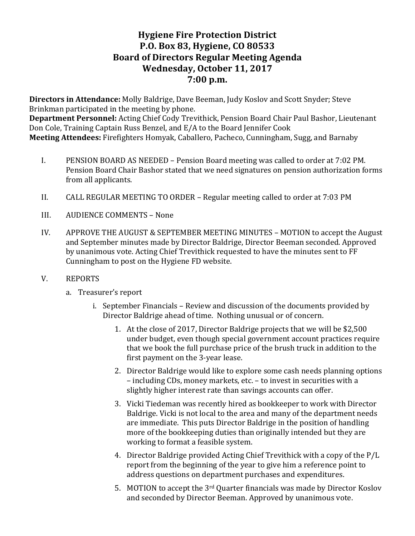# **Hygiene Fire Protection District P.O. Box 83, Hygiene, CO 80533 Board of Directors Regular Meeting Agenda** Wednesday, October 11, 2017 **7:00 p.m.**

**Directors in Attendance:** Molly Baldrige, Dave Beeman, Judy Koslov and Scott Snyder; Steve Brinkman participated in the meeting by phone. **Department Personnel:** Acting Chief Cody Trevithick, Pension Board Chair Paul Bashor, Lieutenant Don Cole, Training Captain Russ Benzel, and E/A to the Board Jennifer Cook **Meeting Attendees:** Firefighters Homyak, Caballero, Pacheco, Cunningham, Sugg, and Barnaby

- I. PENSION BOARD AS NEEDED Pension Board meeting was called to order at 7:02 PM. Pension Board Chair Bashor stated that we need signatures on pension authorization forms from all applicants.
- II. CALL REGULAR MEETING TO ORDER Regular meeting called to order at 7:03 PM
- III. AUDIENCE COMMENTS None
- IV. APPROVE THE AUGUST & SEPTEMBER MEETING MINUTES MOTION to accept the August and September minutes made by Director Baldrige, Director Beeman seconded. Approved by unanimous vote. Acting Chief Trevithick requested to have the minutes sent to FF Cunningham to post on the Hygiene FD website.
- V. REPORTS
	- a. Treasurer's report
		- i. September Financials Review and discussion of the documents provided by Director Baldrige ahead of time. Nothing unusual or of concern.
			- 1. At the close of 2017, Director Baldrige projects that we will be \$2,500 under budget, even though special government account practices require that we book the full purchase price of the brush truck in addition to the first payment on the 3-year lease.
			- 2. Director Baldrige would like to explore some cash needs planning options – including CDs, money markets, etc. – to invest in securities with a slightly higher interest rate than savings accounts can offer.
			- 3. Vicki Tiedeman was recently hired as bookkeeper to work with Director Baldrige. Vicki is not local to the area and many of the department needs are immediate. This puts Director Baldrige in the position of handling more of the bookkeeping duties than originally intended but they are working to format a feasible system.
			- 4. Director Baldrige provided Acting Chief Trevithick with a copy of the P/L report from the beginning of the year to give him a reference point to address questions on department purchases and expenditures.
			- 5. MOTION to accept the  $3<sup>rd</sup>$  Quarter financials was made by Director Koslov and seconded by Director Beeman. Approved by unanimous vote.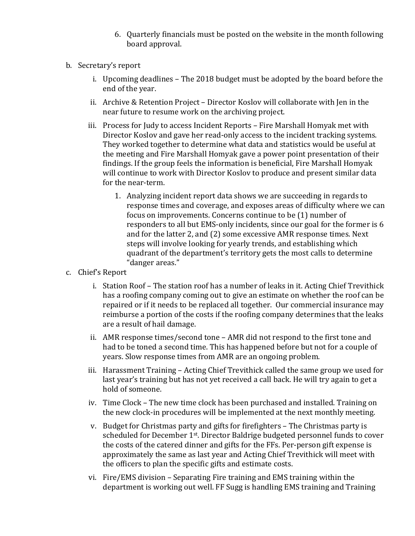- 6. Quarterly financials must be posted on the website in the month following board approval.
- b. Secretary's report
	- i. Upcoming deadlines The 2018 budget must be adopted by the board before the end of the year.
	- ii. Archive & Retention Project Director Koslov will collaborate with Jen in the near future to resume work on the archiving project.
	- iii. Process for Judy to access Incident Reports Fire Marshall Homyak met with Director Koslov and gave her read-only access to the incident tracking systems. They worked together to determine what data and statistics would be useful at the meeting and Fire Marshall Homyak gave a power point presentation of their findings. If the group feels the information is beneficial, Fire Marshall Homyak will continue to work with Director Koslov to produce and present similar data for the near-term.
		- 1. Analyzing incident report data shows we are succeeding in regards to response times and coverage, and exposes areas of difficulty where we can focus on improvements. Concerns continue to be (1) number of responders to all but EMS-only incidents, since our goal for the former is 6 and for the latter 2, and (2) some excessive AMR response times. Next steps will involve looking for yearly trends, and establishing which quadrant of the department's territory gets the most calls to determine "danger areas."
- c. Chief's Report
	- i. Station Roof The station roof has a number of leaks in it. Acting Chief Trevithick has a roofing company coming out to give an estimate on whether the roof can be repaired or if it needs to be replaced all together. Our commercial insurance may reimburse a portion of the costs if the roofing company determines that the leaks are a result of hail damage.
	- ii. AMR response times/second tone  $-$  AMR did not respond to the first tone and had to be toned a second time. This has happened before but not for a couple of years. Slow response times from AMR are an ongoing problem.
	- iii. Harassment Training Acting Chief Trevithick called the same group we used for last year's training but has not yet received a call back. He will try again to get a hold of someone.
	- iv. Time Clock The new time clock has been purchased and installed. Training on the new clock-in procedures will be implemented at the next monthly meeting.
	- v. Budget for Christmas party and gifts for firefighters The Christmas party is scheduled for December 1<sup>st</sup>. Director Baldrige budgeted personnel funds to cover the costs of the catered dinner and gifts for the FFs. Per-person gift expense is approximately the same as last year and Acting Chief Trevithick will meet with the officers to plan the specific gifts and estimate costs.
	- vi. Fire/EMS division Separating Fire training and EMS training within the department is working out well. FF Sugg is handling EMS training and Training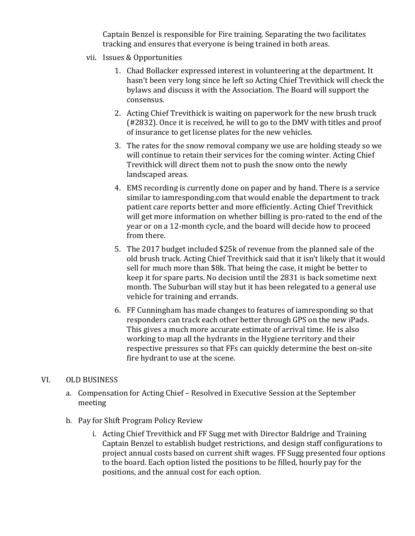Captain Benzel is responsible for Fire training. Separating the two facilitates tracking and ensures that everyone is being trained in both areas.

- vii. Issues & Opportunities
	- 1. Chad Bollacker expressed interest in volunteering at the department. It hasn't been very long since he left so Acting Chief Trevithick will check the bylaws and discuss it with the Association. The Board will support the consensus.
	- 2. Acting Chief Trevithick is waiting on paperwork for the new brush truck  $(42832)$ . Once it is received, he will to go to the DMV with titles and proof of insurance to get license plates for the new vehicles.
	- 3. The rates for the snow removal company we use are holding steady so we will continue to retain their services for the coming winter. Acting Chief Trevithick will direct them not to push the snow onto the newly landscaped areas.
	- 4. EMS recording is currently done on paper and by hand. There is a service similar to iamresponding.com that would enable the department to track patient care reports better and more efficiently. Acting Chief Trevithick will get more information on whether billing is pro-rated to the end of the year or on a 12-month cycle, and the board will decide how to proceed from there.
	- 5. The 2017 budget included \$25k of revenue from the planned sale of the old brush truck. Acting Chief Trevithick said that it isn't likely that it would sell for much more than \$8k. That being the case, it might be better to keep it for spare parts. No decision until the 2831 is back sometime next month. The Suburban will stay but it has been relegated to a general use vehicle for training and errands.
	- 6. FF Cunningham has made changes to features of iamresponding so that responders can track each other better through GPS on the new iPads. This gives a much more accurate estimate of arrival time. He is also working to map all the hydrants in the Hygiene territory and their respective pressures so that FFs can quickly determine the best on-site fire hydrant to use at the scene.

#### VI. OLD BUSINESS

- a. Compensation for Acting Chief Resolved in Executive Session at the September meeting
- b. Pay for Shift Program Policy Review
	- i. Acting Chief Trevithick and FF Sugg met with Director Baldrige and Training Captain Benzel to establish budget restrictions, and design staff configurations to project annual costs based on current shift wages. FF Sugg presented four options to the board. Each option listed the positions to be filled, hourly pay for the positions, and the annual cost for each option.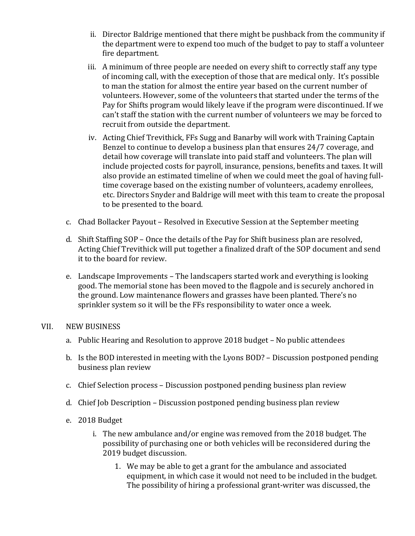- ii. Director Baldrige mentioned that there might be pushback from the community if the department were to expend too much of the budget to pay to staff a volunteer fire department.
- iii. A minimum of three people are needed on every shift to correctly staff any type of incoming call, with the exeception of those that are medical only. It's possible to man the station for almost the entire year based on the current number of volunteers. However, some of the volunteers that started under the terms of the Pay for Shifts program would likely leave if the program were discontinued. If we can't staff the station with the current number of volunteers we may be forced to recruit from outside the department.
- iv. Acting Chief Trevithick, FFs Sugg and Banarby will work with Training Captain Benzel to continue to develop a business plan that ensures 24/7 coverage, and detail how coverage will translate into paid staff and volunteers. The plan will include projected costs for payroll, insurance, pensions, benefits and taxes. It will also provide an estimated timeline of when we could meet the goal of having fulltime coverage based on the existing number of volunteers, academy enrollees, etc. Directors Snyder and Baldrige will meet with this team to create the proposal to be presented to the board.
- c. Chad Bollacker Payout Resolved in Executive Session at the September meeting
- d. Shift Staffing SOP Once the details of the Pay for Shift business plan are resolved, Acting Chief Trevithick will put together a finalized draft of the SOP document and send it to the board for review.
- e. Landscape Improvements The landscapers started work and everything is looking good. The memorial stone has been moved to the flagpole and is securely anchored in the ground. Low maintenance flowers and grasses have been planted. There's no sprinkler system so it will be the FFs responsibility to water once a week.

#### VII. NEW BUSINESS

- a. Public Hearing and Resolution to approve 2018 budget No public attendees
- b. Is the BOD interested in meeting with the Lyons BOD? Discussion postponed pending business plan review
- c. Chief Selection process Discussion postponed pending business plan review
- d. Chief Job Description Discussion postponed pending business plan review
- e. 2018 Budget
	- i. The new ambulance and/or engine was removed from the 2018 budget. The possibility of purchasing one or both vehicles will be reconsidered during the 2019 budget discussion.
		- 1. We may be able to get a grant for the ambulance and associated equipment, in which case it would not need to be included in the budget. The possibility of hiring a professional grant-writer was discussed, the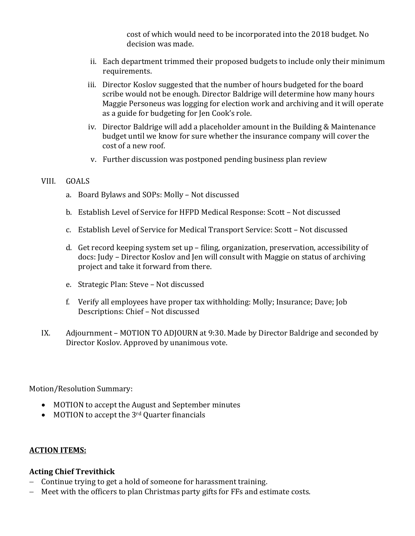cost of which would need to be incorporated into the 2018 budget. No decision was made.

- ii. Each department trimmed their proposed budgets to include only their minimum requirements.
- iii. Director Koslov suggested that the number of hours budgeted for the board scribe would not be enough. Director Baldrige will determine how many hours Maggie Personeus was logging for election work and archiving and it will operate as a guide for budgeting for Jen Cook's role.
- iv. Director Baldrige will add a placeholder amount in the Building & Maintenance budget until we know for sure whether the insurance company will cover the cost of a new roof.
- v. Further discussion was postponed pending business plan review

#### VIII. GOALS

- a. Board Bylaws and SOPs: Molly Not discussed
- b. Establish Level of Service for HFPD Medical Response: Scott Not discussed
- c. Establish Level of Service for Medical Transport Service: Scott Not discussed
- d. Get record keeping system set up filing, organization, preservation, accessibility of docs: Judy - Director Koslov and Jen will consult with Maggie on status of archiving project and take it forward from there.
- e. Strategic Plan: Steve Not discussed
- f. Verify all employees have proper tax withholding: Molly; Insurance; Dave; Job Descriptions: Chief - Not discussed
- IX. Adjournment MOTION TO ADJOURN at 9:30. Made by Director Baldrige and seconded by Director Koslov. Approved by unanimous vote.

Motion/Resolution Summary:

- MOTION to accept the August and September minutes
- MOTION to accept the  $3<sup>rd</sup>$  Quarter financials

#### **ACTION ITEMS:**

#### **Acting Chief Trevithick**

- Continue trying to get a hold of someone for harassment training.
- Meet with the officers to plan Christmas party gifts for FFs and estimate costs.